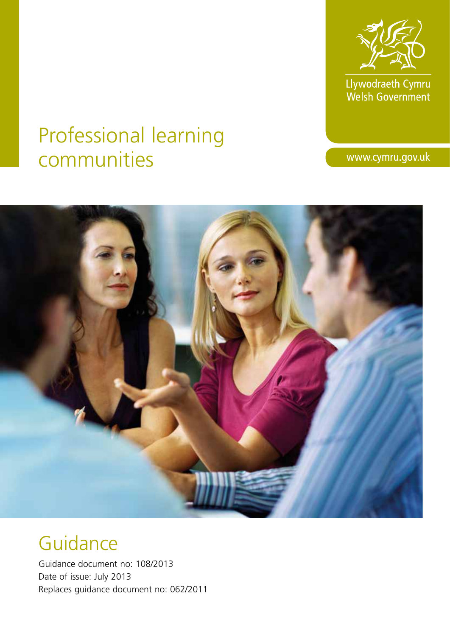

Llywodraeth Cymru<br>Welsh Government

# Professional learning communities

www.cymru.gov.uk



# Guidance

Guidance document no: 108/2013 Date of issue: July 2013 Replaces guidance document no: 062/2011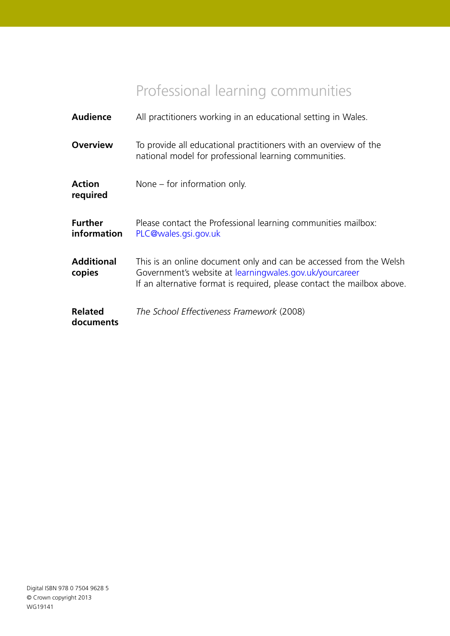## Professional learning communities

| <b>Audience</b>               | All practitioners working in an educational setting in Wales.                                                                                                                                            |
|-------------------------------|----------------------------------------------------------------------------------------------------------------------------------------------------------------------------------------------------------|
| <b>Overview</b>               | To provide all educational practitioners with an overview of the<br>national model for professional learning communities.                                                                                |
| <b>Action</b><br>required     | None $-$ for information only.                                                                                                                                                                           |
| <b>Further</b><br>information | Please contact the Professional learning communities mailbox:<br>PLC@wales.gsi.gov.uk                                                                                                                    |
| <b>Additional</b><br>copies   | This is an online document only and can be accessed from the Welsh<br>Government's website at learningwales.gov.uk/yourcareer<br>If an alternative format is required, please contact the mailbox above. |
| <b>Related</b><br>documents   | The School Effectiveness Framework (2008)                                                                                                                                                                |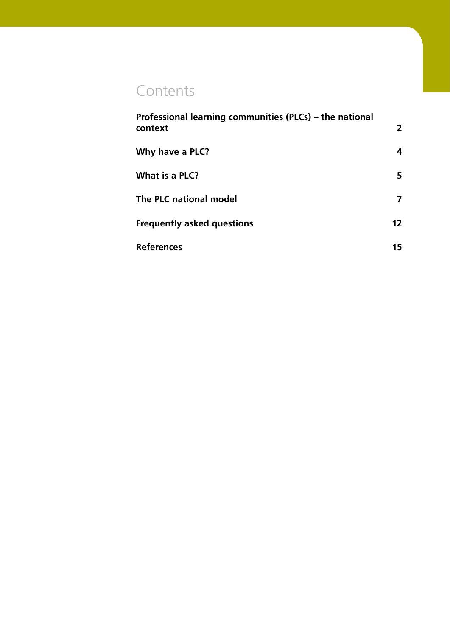## **Contents**

| Professional learning communities (PLCs) – the national<br>context | 2  |
|--------------------------------------------------------------------|----|
| Why have a PLC?                                                    | 4  |
| What is a PLC?                                                     | 5  |
| The PLC national model                                             | 7  |
| <b>Frequently asked questions</b>                                  | 12 |
| <b>References</b>                                                  | 15 |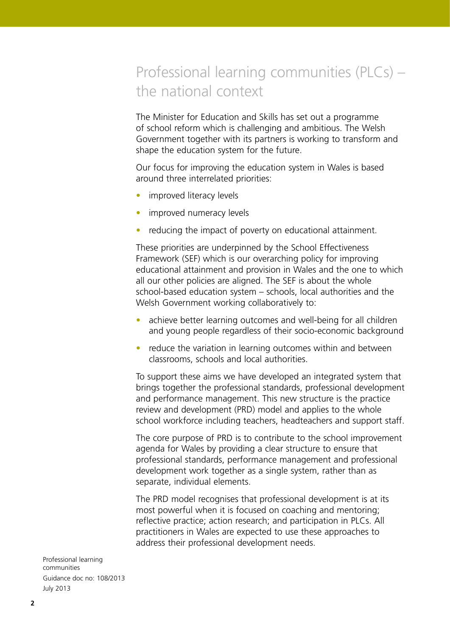## Professional learning communities (PLCs) – the national context

The Minister for Education and Skills has set out a programme of school reform which is challenging and ambitious. The Welsh Government together with its partners is working to transform and shape the education system for the future.

Our focus for improving the education system in Wales is based around three interrelated priorities:

- improved literacy levels
- improved numeracy levels
- reducing the impact of poverty on educational attainment.

These priorities are underpinned by the School Effectiveness Framework (SEF) which is our overarching policy for improving educational attainment and provision in Wales and the one to which all our other policies are aligned. The SEF is about the whole school-based education system – schools, local authorities and the Welsh Government working collaboratively to:

- achieve better learning outcomes and well-being for all children and young people regardless of their socio-economic background
- reduce the variation in learning outcomes within and between classrooms, schools and local authorities.

To support these aims we have developed an integrated system that brings together the professional standards, professional development and performance management. This new structure is the practice review and development (PRD) model and applies to the whole school workforce including teachers, headteachers and support staff.

The core purpose of PRD is to contribute to the school improvement agenda for Wales by providing a clear structure to ensure that professional standards, performance management and professional development work together as a single system, rather than as separate, individual elements.

The PRD model recognises that professional development is at its most powerful when it is focused on coaching and mentoring; reflective practice; action research; and participation in PLCs. All practitioners in Wales are expected to use these approaches to address their professional development needs.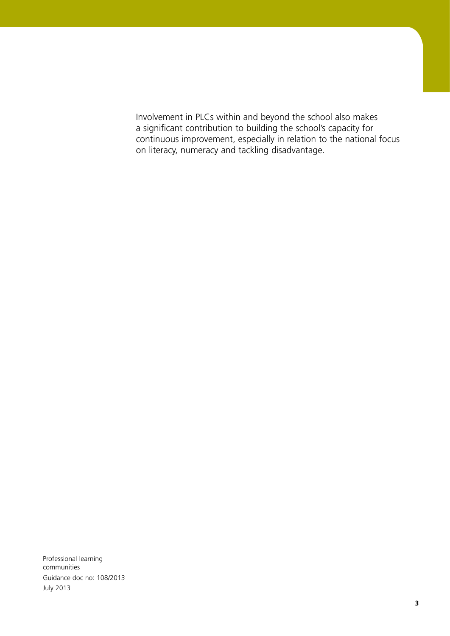Involvement in PLCs within and beyond the school also makes a significant contribution to building the school's capacity for continuous improvement, especially in relation to the national focus on literacy, numeracy and tackling disadvantage.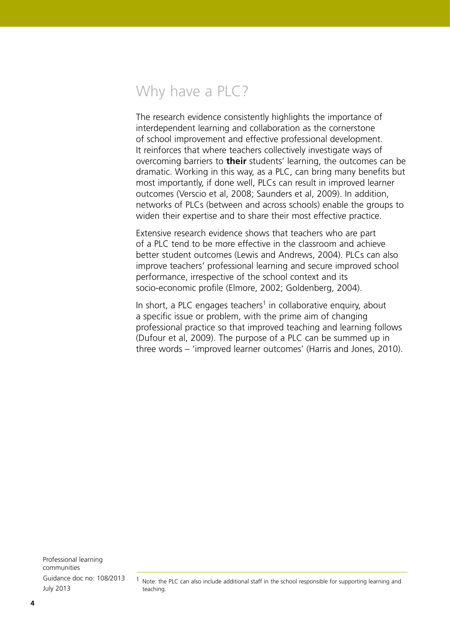## Why have a PLC?

The research evidence consistently highlights the importance of interdependent learning and collaboration as the cornerstone of school improvement and effective professional development. It reinforces that where teachers collectively investigate ways of overcoming barriers to **their** students' learning, the outcomes can be dramatic. Working in this way, as a PLC, can bring many benefits but most importantly, if done well, PLCs can result in improved learner outcomes (Verscio et al, 2008; Saunders et al, 2009). In addition, networks of PLCs (between and across schools) enable the groups to widen their expertise and to share their most effective practice.

Extensive research evidence shows that teachers who are part of a PLC tend to be more effective in the classroom and achieve better student outcomes (Lewis and Andrews, 2004). PLCs can also improve teachers' professional learning and secure improved school performance, irrespective of the school context and its socio-economic profile (Elmore, 2002; Goldenberg, 2004).

In short, a PLC engages teachers<sup>1</sup> in collaborative enquiry, about a specific issue or problem, with the prime aim of changing professional practice so that improved teaching and learning follows (Dufour et al, 2009). The purpose of a PLC can be summed up in three words – 'improved learner outcomes' (Harris and Jones, 2010).

<sup>1</sup> Note: the PLC can also include additional staff in the school responsible for supporting learning and teaching.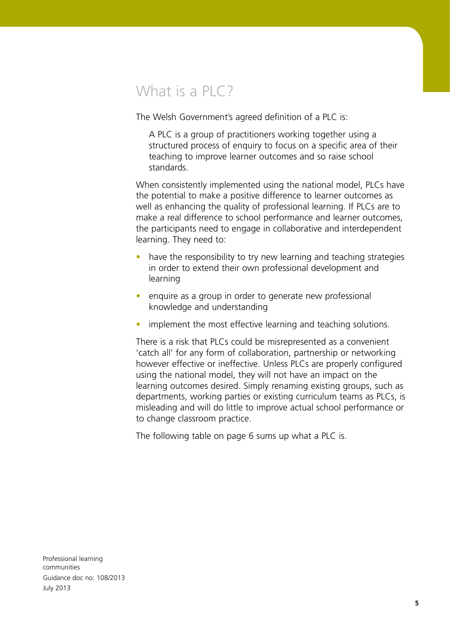## What is a  $PIC$ ?

The Welsh Government's agreed definition of a PLC is:

A PLC is a group of practitioners working together using a structured process of enquiry to focus on a specific area of their teaching to improve learner outcomes and so raise school standards.

When consistently implemented using the national model, PLCs have the potential to make a positive difference to learner outcomes as well as enhancing the quality of professional learning. If PLCs are to make a real difference to school performance and learner outcomes, the participants need to engage in collaborative and interdependent learning. They need to:

- have the responsibility to try new learning and teaching strategies in order to extend their own professional development and learning
- enquire as a group in order to generate new professional knowledge and understanding
- implement the most effective learning and teaching solutions.

There is a risk that PLCs could be misrepresented as a convenient 'catch all' for any form of collaboration, partnership or networking however effective or ineffective. Unless PLCs are properly configured using the national model, they will not have an impact on the learning outcomes desired. Simply renaming existing groups, such as departments, working parties or existing curriculum teams as PLCs, is misleading and will do little to improve actual school performance or to change classroom practice.

The following table on page 6 sums up what a PLC is.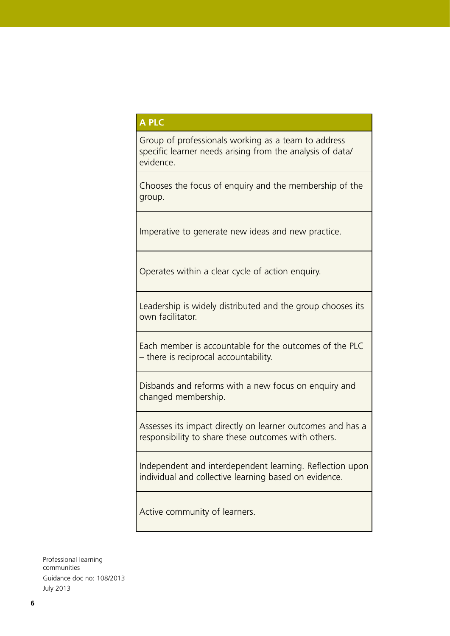#### **A PLC**

Group of professionals working as a team to address specific learner needs arising from the analysis of data/ evidence.

Chooses the focus of enquiry and the membership of the group.

Imperative to generate new ideas and new practice.

Operates within a clear cycle of action enquiry.

Leadership is widely distributed and the group chooses its own facilitator.

Each member is accountable for the outcomes of the PLC – there is reciprocal accountability.

Disbands and reforms with a new focus on enquiry and changed membership.

Assesses its impact directly on learner outcomes and has a responsibility to share these outcomes with others.

Independent and interdependent learning. Reflection upon individual and collective learning based on evidence.

Active community of learners.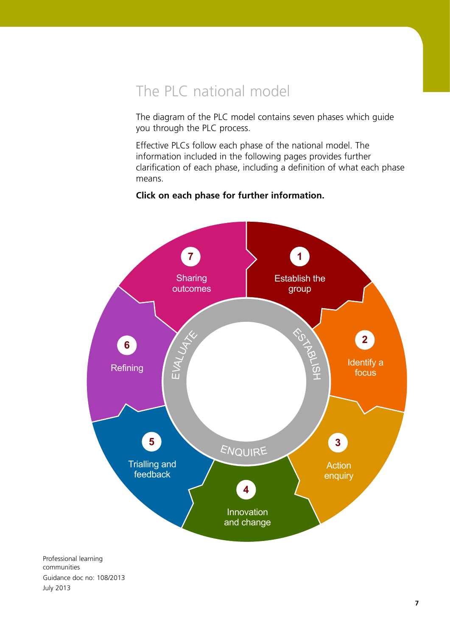## The PLC national model

The diagram of the PLC model contains seven phases which guide you through the PLC process.

Effective PLCs follow each phase of the national model. The information included in the following pages provides further clarification of each phase, including a definition of what each phase means.

### **7 1 2 3 4 5 6** Establish the group Identify a focus Action enquiry Innovation and change Trialling and feedback **Refining Sharing** outcomes ESTABLIS **MP** EVALUATE **ENQUIRE**

#### **Click on each phase for further information.**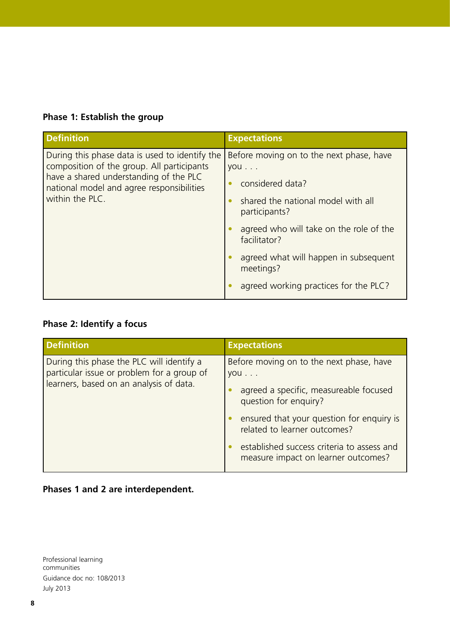### **Phase 1: Establish the group**

| <b>Definition</b>                                                                                                                                                                                      | <b>Expectations</b>                                                     |
|--------------------------------------------------------------------------------------------------------------------------------------------------------------------------------------------------------|-------------------------------------------------------------------------|
| During this phase data is used to identify the<br>composition of the group. All participants<br>have a shared understanding of the PLC<br>national model and agree responsibilities<br>within the PLC. | Before moving on to the next phase, have<br>you                         |
|                                                                                                                                                                                                        | considered data?<br>shared the national model with all<br>participants? |
|                                                                                                                                                                                                        | agreed who will take on the role of the<br>facilitator?                 |
|                                                                                                                                                                                                        | agreed what will happen in subsequent<br>meetings?                      |
|                                                                                                                                                                                                        | agreed working practices for the PLC?                                   |

### **Phase 2: Identify a focus**

| <b>Definition</b>                                                                                                                  | <b>Expectations</b>                                                                                                                                                                                                                                                                          |
|------------------------------------------------------------------------------------------------------------------------------------|----------------------------------------------------------------------------------------------------------------------------------------------------------------------------------------------------------------------------------------------------------------------------------------------|
| During this phase the PLC will identify a<br>particular issue or problem for a group of<br>learners, based on an analysis of data. | Before moving on to the next phase, have<br>$you \dots$<br>agreed a specific, measureable focused<br>question for enquiry?<br>ensured that your question for enquiry is<br>related to learner outcomes?<br>established success criteria to assess and<br>measure impact on learner outcomes? |

### **Phases 1 and 2 are interdependent.**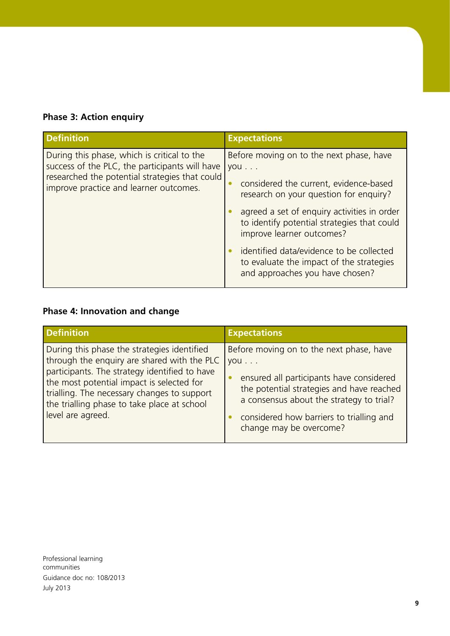|  | <b>Phase 3: Action enquiry</b> |
|--|--------------------------------|
|  |                                |

| <b>Definition</b>                                                                                                                                                                         | <b>Expectations</b>                                                                                                                                                                                                                                                                                                                                                                                    |
|-------------------------------------------------------------------------------------------------------------------------------------------------------------------------------------------|--------------------------------------------------------------------------------------------------------------------------------------------------------------------------------------------------------------------------------------------------------------------------------------------------------------------------------------------------------------------------------------------------------|
| During this phase, which is critical to the<br>success of the PLC, the participants will have<br>researched the potential strategies that could<br>improve practice and learner outcomes. | Before moving on to the next phase, have<br>you<br>considered the current, evidence-based<br>$\bullet$<br>research on your question for enquiry?<br>agreed a set of enquiry activities in order<br>to identify potential strategies that could<br>improve learner outcomes?<br>identified data/evidence to be collected<br>to evaluate the impact of the strategies<br>and approaches you have chosen? |

### **Phase 4: Innovation and change**

| <b>Definition</b>                             | <b>Expectations</b>                       |
|-----------------------------------------------|-------------------------------------------|
| During this phase the strategies identified   | Before moving on to the next phase, have  |
| through the enquiry are shared with the PLC   | $ $ you $\ldots$                          |
| participants. The strategy identified to have | ensured all participants have considered  |
| the most potential impact is selected for     | the potential strategies and have reached |
| trialling. The necessary changes to support   | a consensus about the strategy to trial?  |
| the trialling phase to take place at school   | considered how barriers to trialling and  |
| level are agreed.                             | change may be overcome?                   |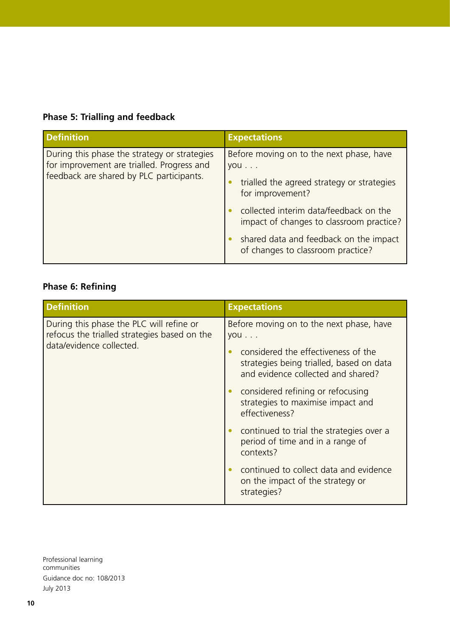### **Phase 5: Trialling and feedback**

| <b>Definition</b>                                                                                                                      | <b>Expectations</b>                                                                                               |
|----------------------------------------------------------------------------------------------------------------------------------------|-------------------------------------------------------------------------------------------------------------------|
| During this phase the strategy or strategies<br>for improvement are trialled. Progress and<br>feedback are shared by PLC participants. | Before moving on to the next phase, have<br>you<br>trialled the agreed strategy or strategies<br>for improvement? |
|                                                                                                                                        | collected interim data/feedback on the<br>impact of changes to classroom practice?                                |
|                                                                                                                                        | shared data and feedback on the impact<br>of changes to classroom practice?                                       |

### **Phase 6: Refining**

| <b>Definition</b>                                                                                                    | <b>Expectations</b>                                                                       |
|----------------------------------------------------------------------------------------------------------------------|-------------------------------------------------------------------------------------------|
| During this phase the PLC will refine or<br>refocus the trialled strategies based on the<br>data/evidence collected. | Before moving on to the next phase, have<br>you<br>considered the effectiveness of the    |
|                                                                                                                      | strategies being trialled, based on data<br>and evidence collected and shared?            |
|                                                                                                                      | considered refining or refocusing<br>strategies to maximise impact and<br>effectiveness?  |
|                                                                                                                      | continued to trial the strategies over a<br>period of time and in a range of<br>contexts? |
|                                                                                                                      | continued to collect data and evidence<br>on the impact of the strategy or<br>strategies? |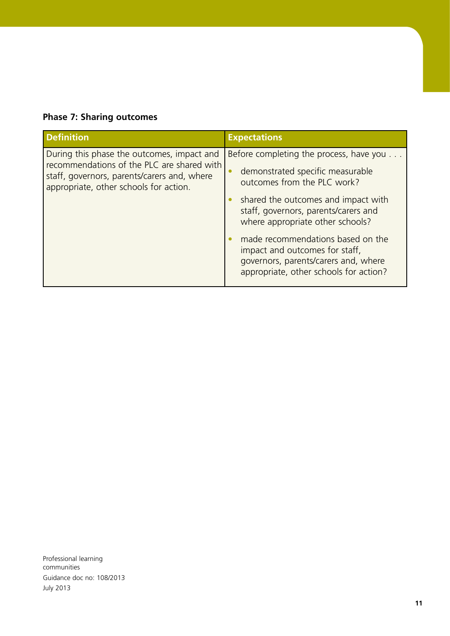### **Phase 7: Sharing outcomes**

| <b>Definition</b>                                                                                                                                                                 | <b>Expectations</b>                                                                                                                                                                                    |
|-----------------------------------------------------------------------------------------------------------------------------------------------------------------------------------|--------------------------------------------------------------------------------------------------------------------------------------------------------------------------------------------------------|
| During this phase the outcomes, impact and<br>recommendations of the PLC are shared with<br>staff, governors, parents/carers and, where<br>appropriate, other schools for action. | Before completing the process, have you<br>demonstrated specific measurable<br>$\bullet$<br>outcomes from the PLC work?<br>shared the outcomes and impact with<br>staff, governors, parents/carers and |
|                                                                                                                                                                                   | where appropriate other schools?<br>made recommendations based on the<br>impact and outcomes for staff,<br>governors, parents/carers and, where<br>appropriate, other schools for action?              |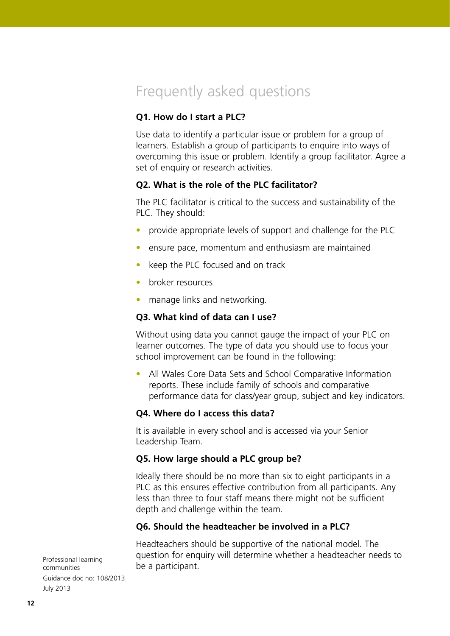## Frequently asked questions

#### **Q1. How do I start a PLC?**

Use data to identify a particular issue or problem for a group of learners. Establish a group of participants to enquire into ways of overcoming this issue or problem. Identify a group facilitator. Agree a set of enquiry or research activities.

#### **Q2. What is the role of the PLC facilitator?**

The PLC facilitator is critical to the success and sustainability of the PLC. They should:

- provide appropriate levels of support and challenge for the PLC
- ensure pace, momentum and enthusiasm are maintained
- keep the PLC focused and on track
- broker resources
- manage links and networking.

#### **Q3. What kind of data can I use?**

Without using data you cannot gauge the impact of your PLC on learner outcomes. The type of data you should use to focus your school improvement can be found in the following:

• All Wales Core Data Sets and School Comparative Information reports. These include family of schools and comparative performance data for class/year group, subject and key indicators.

#### **Q4. Where do I access this data?**

It is available in every school and is accessed via your Senior Leadership Team.

#### **Q5. How large should a PLC group be?**

Ideally there should be no more than six to eight participants in a PLC as this ensures effective contribution from all participants. Any less than three to four staff means there might not be sufficient depth and challenge within the team.

#### **Q6. Should the headteacher be involved in a PLC?**

Headteachers should be supportive of the national model. The question for enquiry will determine whether a headteacher needs to be a participant.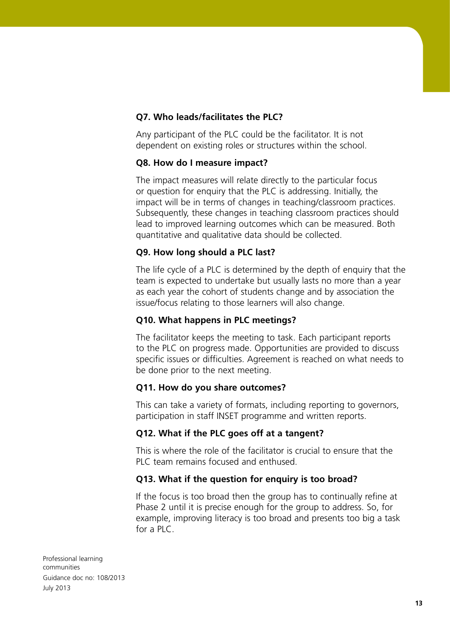#### **Q7. Who leads/facilitates the PLC?**

Any participant of the PLC could be the facilitator. It is not dependent on existing roles or structures within the school.

#### **Q8. How do I measure impact?**

The impact measures will relate directly to the particular focus or question for enquiry that the PLC is addressing. Initially, the impact will be in terms of changes in teaching/classroom practices. Subsequently, these changes in teaching classroom practices should lead to improved learning outcomes which can be measured. Both quantitative and qualitative data should be collected.

#### **Q9. How long should a PLC last?**

The life cycle of a PLC is determined by the depth of enquiry that the team is expected to undertake but usually lasts no more than a year as each year the cohort of students change and by association the issue/focus relating to those learners will also change.

#### **Q10. What happens in PLC meetings?**

The facilitator keeps the meeting to task. Each participant reports to the PLC on progress made. Opportunities are provided to discuss specific issues or difficulties. Agreement is reached on what needs to be done prior to the next meeting.

#### **Q11. How do you share outcomes?**

This can take a variety of formats, including reporting to governors, participation in staff INSET programme and written reports.

#### **Q12. What if the PLC goes off at a tangent?**

This is where the role of the facilitator is crucial to ensure that the PLC team remains focused and enthused.

#### **Q13. What if the question for enquiry is too broad?**

If the focus is too broad then the group has to continually refine at Phase 2 until it is precise enough for the group to address. So, for example, improving literacy is too broad and presents too big a task for a PLC.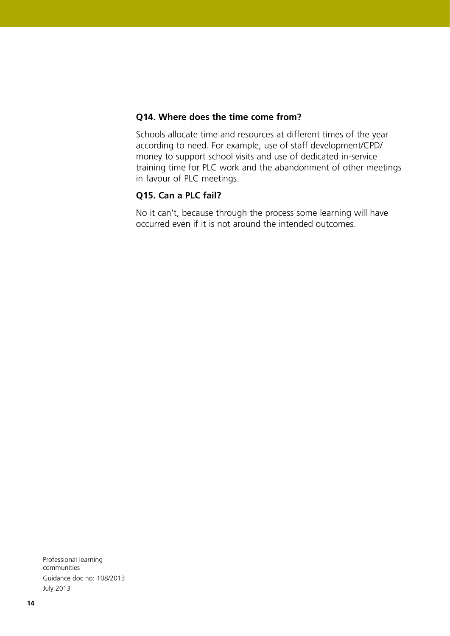#### **Q14. Where does the time come from?**

Schools allocate time and resources at different times of the year according to need. For example, use of staff development/CPD/ money to support school visits and use of dedicated in-service training time for PLC work and the abandonment of other meetings in favour of PLC meetings.

#### **Q15. Can a PLC fail?**

No it can't, because through the process some learning will have occurred even if it is not around the intended outcomes.